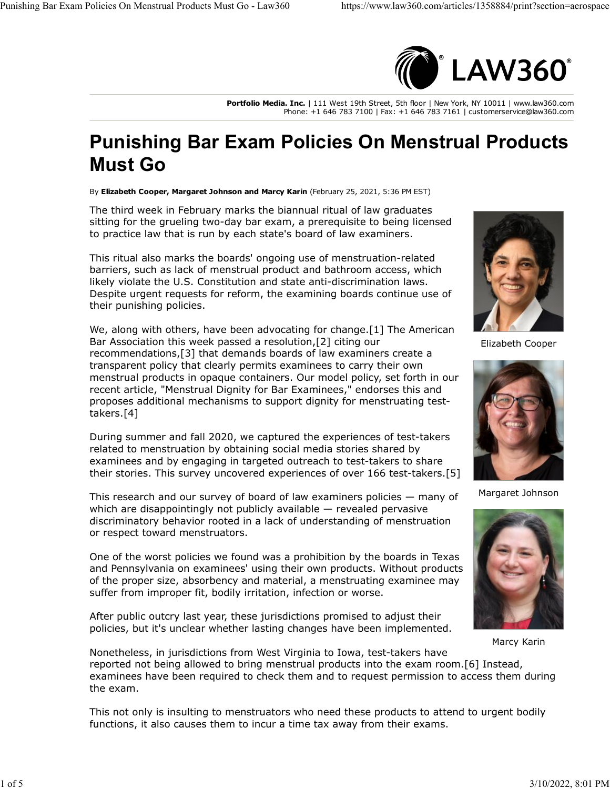

**Portfolio Media. Inc.** | 111 West 19th Street, 5th floor | New York, NY 10011 | www.law360.com Phone: +1 646 783 7100 | Fax: +1 646 783 7161 | customerservice@law360.com

## **Punishing Bar Exam Policies On Menstrual Products Must Go**

By **Elizabeth Cooper, Margaret Johnson and Marcy Karin** (February 25, 2021, 5:36 PM EST)

The third week in February marks the biannual ritual of law graduates sitting for the grueling two-day bar exam, a prerequisite to being licensed to practice law that is run by each state's board of law examiners.

This ritual also marks the boards' ongoing use of menstruation-related barriers, such as lack of menstrual product and bathroom access, which likely violate the U.S. Constitution and state anti-discrimination laws. Despite urgent requests for reform, the examining boards continue use of their punishing policies.

We, along with others, have been advocating for change.[1] The [American](https://www.law360.com/companies/american-bar-association) [Bar Association](https://www.law360.com/companies/american-bar-association) this week passed a resolution,[2] citing our recommendations,[3] that demands boards of law examiners create a transparent policy that clearly permits examinees to carry their own menstrual products in opaque containers. Our model policy, set forth in our recent article, "Menstrual Dignity for Bar Examinees," endorses this and proposes additional mechanisms to support dignity for menstruating testtakers.[4]

During summer and fall 2020, we captured the experiences of test-takers related to menstruation by obtaining social media stories shared by examinees and by engaging in targeted outreach to test-takers to share their stories. This survey uncovered experiences of over 166 test-takers.[5]

This research and our survey of board of law examiners policies — many of which are disappointingly not publicly available — revealed pervasive discriminatory behavior rooted in a lack of understanding of menstruation or respect toward menstruators.

One of the worst policies we found was a prohibition by the boards in Texas and Pennsylvania on examinees' using their own products. Without products of the proper size, absorbency and material, a menstruating examinee may suffer from improper fit, bodily irritation, infection or worse.

After public outcry last year, these jurisdictions promised to adjust their policies, but it's unclear whether lasting changes have been implemented.



Elizabeth Cooper



Margaret Johnson



Marcy Karin

Nonetheless, in jurisdictions from West Virginia to Iowa, test-takers have reported not being allowed to bring menstrual products into the exam room.[6] Instead, examinees have been required to check them and to request permission to access them during the exam.

This not only is insulting to menstruators who need these products to attend to urgent bodily functions, it also causes them to incur a time tax away from their exams.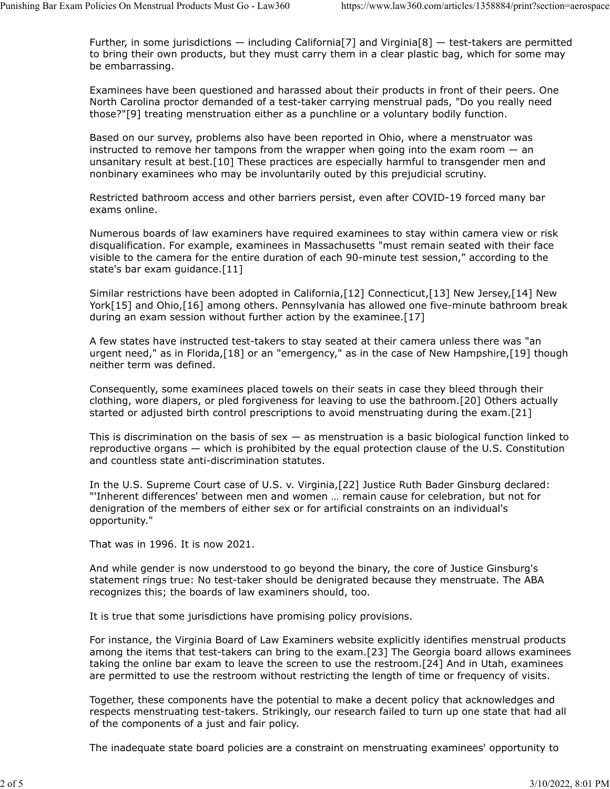Further, in some jurisdictions — including California[7] and Virginia[8] — test-takers are permitted to bring their own products, but they must carry them in a clear plastic bag, which for some may be embarrassing.

Examinees have been questioned and harassed about their products in front of their peers. One North Carolina proctor demanded of a test-taker carrying menstrual pads, "Do you really need those?"[9] treating menstruation either as a punchline or a voluntary bodily function.

Based on our survey, problems also have been reported in Ohio, where a menstruator was instructed to remove her tampons from the wrapper when going into the exam room  $-$  an unsanitary result at best.[10] These practices are especially harmful to transgender men and nonbinary examinees who may be involuntarily outed by this prejudicial scrutiny.

Restricted bathroom access and other barriers persist, even after COVID-19 forced many bar exams online.

Numerous boards of law examiners have required examinees to stay within camera view or risk disqualification. For example, examinees in Massachusetts "must remain seated with their face visible to the camera for the entire duration of each 90-minute test session," according to the state's bar exam guidance.[11]

Similar restrictions have been adopted in California,[12] Connecticut,[13] New Jersey,[14] New York[15] and Ohio,[16] among others. Pennsylvania has allowed one five-minute bathroom break during an exam session without further action by the examinee.[17]

A few states have instructed test-takers to stay seated at their camera unless there was "an urgent need," as in Florida, [18] or an "emergency," as in the case of New Hampshire, [19] though neither term was defined.

Consequently, some examinees placed towels on their seats in case they bleed through their clothing, wore diapers, or pled forgiveness for leaving to use the bathroom.[20] Others actually started or adjusted birth control prescriptions to avoid menstruating during the exam.[21]

This is discrimination on the basis of sex  $-$  as menstruation is a basic biological function linked to reproductive organs — which is prohibited by the equal protection clause of the U.S. Constitution and countless state anti-discrimination statutes.

In the [U.S. Supreme Court](https://www.law360.com/agencies/u-s-supreme-court) case of U.S. v. Virginia,[22] Justice Ruth Bader Ginsburg declared: "'Inherent differences' between men and women … remain cause for celebration, but not for denigration of the members of either sex or for artificial constraints on an individual's opportunity."

That was in 1996. It is now 2021.

And while gender is now understood to go beyond the binary, the core of Justice Ginsburg's statement rings true: No test-taker should be denigrated because they menstruate. The ABA recognizes this; the boards of law examiners should, too.

It is true that some jurisdictions have promising policy provisions.

For instance, the Virginia Board of Law Examiners website explicitly identifies menstrual products among the items that test-takers can bring to the exam.[23] The Georgia board allows examinees taking the online bar exam to leave the screen to use the restroom.[24] And in Utah, examinees are permitted to use the restroom without restricting the length of time or frequency of visits.

Together, these components have the potential to make a decent policy that acknowledges and respects menstruating test-takers. Strikingly, our research failed to turn up one state that had all of the components of a just and fair policy.

The inadequate state board policies are a constraint on menstruating examinees' opportunity to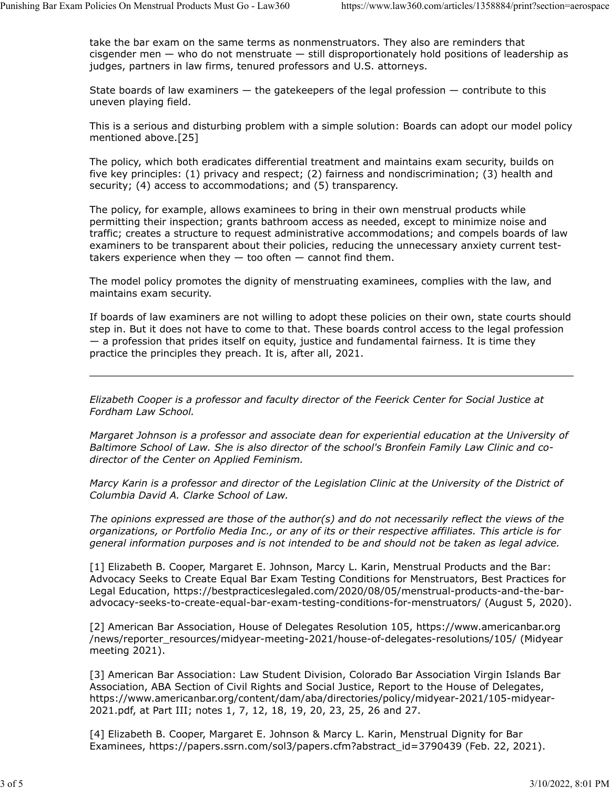take the bar exam on the same terms as nonmenstruators. They also are reminders that cisgender men — who do not menstruate — still disproportionately hold positions of leadership as judges, partners in law firms, tenured professors and U.S. attorneys.

State boards of law examiners  $-$  the gatekeepers of the legal profession  $-$  contribute to this uneven playing field.

This is a serious and disturbing problem with a simple solution: Boards can adopt our model policy mentioned above.[25]

The policy, which both eradicates differential treatment and maintains exam security, builds on five key principles: (1) privacy and respect; (2) fairness and nondiscrimination; (3) health and security; (4) access to accommodations; and (5) transparency.

The policy, for example, allows examinees to bring in their own menstrual products while permitting their inspection; grants bathroom access as needed, except to minimize noise and traffic; creates a structure to request administrative accommodations; and compels boards of law examiners to be transparent about their policies, reducing the unnecessary anxiety current testtakers experience when they  $-$  too often  $-$  cannot find them.

The model policy promotes the dignity of menstruating examinees, complies with the law, and maintains exam security.

If boards of law examiners are not willing to adopt these policies on their own, state courts should step in. But it does not have to come to that. These boards control access to the legal profession — a profession that prides itself on equity, justice and fundamental fairness. It is time they practice the principles they preach. It is, after all, 2021.

*[Elizabeth Cooper](https://www.fordham.edu/info/23126/elizabeth_cooper) is a professor and faculty director of the Feerick Center for Social Justice at Fordham Law School.*

*[Margaret Johnson](http://law.ubalt.edu/faculty/profiles/johnson.cfm) is a professor and associate dean for experiential education at the University of Baltimore School of Law. She is also director of the school's Bronfein Family Law Clinic and codirector of the Center on Applied Feminism.*

*[Marcy Karin](https://www.law.udc.edu/page/MKarin) is a professor and director of the Legislation Clinic at the University of the District of Columbia David A. Clarke School of Law.*

*The opinions expressed are those of the author(s) and do not necessarily reflect the views of the organizations, or Portfolio Media Inc., or any of its or their respective affiliates. This article is for general information purposes and is not intended to be and should not be taken as legal advice.*

[1] Elizabeth B. Cooper, Margaret E. Johnson, Marcy L. Karin, Menstrual Products and the Bar: Advocacy Seeks to Create Equal Bar Exam Testing Conditions for Menstruators, Best Practices for Legal Education, [https://bestpracticeslegaled.com/2020/08/05/menstrual-products-and-the-bar](https://bestpracticeslegaled.com/2020/08/05/menstrual-products-and-the-bar-advocacy-seeks-to-create-equal-bar-exam-testing-conditions-for-menstruators/)[advocacy-seeks-to-create-equal-bar-exam-testing-conditions-for-menstruators/](https://bestpracticeslegaled.com/2020/08/05/menstrual-products-and-the-bar-advocacy-seeks-to-create-equal-bar-exam-testing-conditions-for-menstruators/) (August 5, 2020).

[2] American Bar Association, House of Delegates Resolution 105, [https://www.americanbar.org](https://www.americanbar.org/news/reporter_resources/midyear-meeting-2021/house-of-delegates-resolutions/105/) [/news/reporter\\_resources/midyear-meeting-2021/house-of-delegates-resolutions/105/](https://www.americanbar.org/news/reporter_resources/midyear-meeting-2021/house-of-delegates-resolutions/105/) (Midyear meeting 2021).

[3] American Bar Association: Law Student Division, [Colorado Bar Association Virgin Islands Bar](https://www.law360.com/companies/colorado-bar-association) [Association,](https://www.law360.com/companies/colorado-bar-association) ABA Section of Civil Rights and Social Justice, Report to the House of Delegates, [https://www.americanbar.org/content/dam/aba/directories/policy/midyear-2021/105-midyear-](https://www.americanbar.org/content/dam/aba/directories/policy/midyear-2021/105-midyear-2021.pdf)[2021.pdf,](https://www.americanbar.org/content/dam/aba/directories/policy/midyear-2021/105-midyear-2021.pdf) at Part III; notes 1, 7, 12, 18, 19, 20, 23, 25, 26 and 27.

[4] Elizabeth B. Cooper, Margaret E. Johnson & Marcy L. Karin, Menstrual Dignity for Bar Examinees, [https://papers.ssrn.com/sol3/papers.cfm?abstract\\_id=3790439](https://papers.ssrn.com/sol3/papers.cfm?abstract_id=3790439) (Feb. 22, 2021).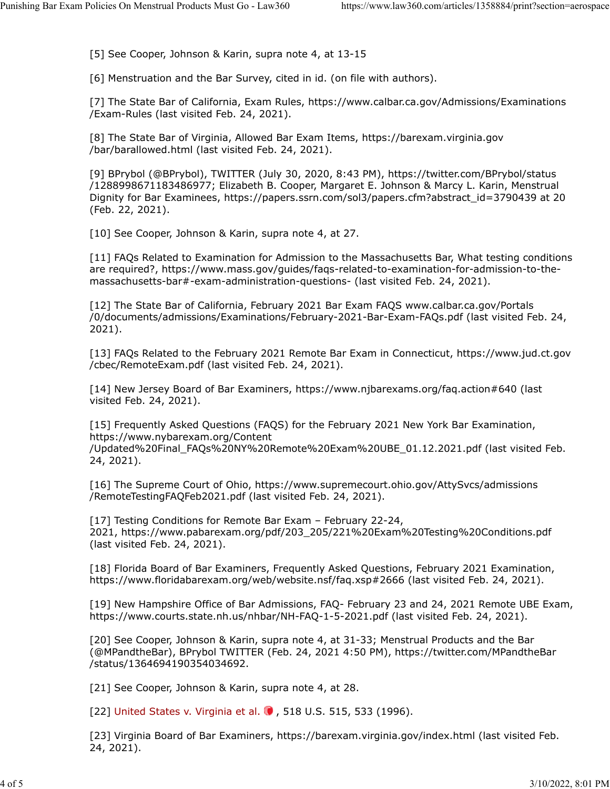[5] See Cooper, Johnson & Karin, supra note 4, at 13-15

[6] Menstruation and the Bar Survey, cited in id. (on file with authors).

[7] The [State Bar of California,](https://www.law360.com/companies/state-bar-of-california) Exam Rules, [https://www.calbar.ca.gov/Admissions/Examinations](https://www.calbar.ca.gov/Admissions/Examinations/Exam-Rules) [/Exam-Rules](https://www.calbar.ca.gov/Admissions/Examinations/Exam-Rules) (last visited Feb. 24, 2021).

[8] The State Bar of Virginia, Allowed Bar Exam Items, [https://barexam.virginia.gov](https://barexam.virginia.gov/bar/barallowed.html) [/bar/barallowed.html](https://barexam.virginia.gov/bar/barallowed.html) (last visited Feb. 24, 2021).

[9] BPrybol (@BPrybol), TWITTER (July 30, 2020, 8:43 PM), [https://twitter.com/BPrybol/status](https://twitter.com/BPrybol/status/1288998671183486977) [/1288998671183486977;](https://twitter.com/BPrybol/status/1288998671183486977) Elizabeth B. Cooper, Margaret E. Johnson & Marcy L. Karin, Menstrual Dignity for Bar Examinees, [https://papers.ssrn.com/sol3/papers.cfm?abstract\\_id=3790439](https://papers.ssrn.com/sol3/papers.cfm?abstract_id=3790439) at 20 (Feb. 22, 2021).

[10] See Cooper, Johnson & Karin, supra note 4, at 27.

[11] FAQs Related to Examination for Admission to the Massachusetts Bar, What testing conditions are required?, [https://www.mass.gov/guides/faqs-related-to-examination-for-admission-to-the](https://www.mass.gov/guides/faqs-related-to-examination-for-admission-to-the-massachusetts-bar#-exam-administration-questions-)[massachusetts-bar#-exam-administration-questions-](https://www.mass.gov/guides/faqs-related-to-examination-for-admission-to-the-massachusetts-bar#-exam-administration-questions-) (last visited Feb. 24, 2021).

[12] The State Bar of California, February 2021 Bar Exam FAQS www.calbar.ca.gov/Portals /0/documents/admissions/Examinations/February-2021-Bar-Exam-FAQs.pdf (last visited Feb. 24, 2021).

[13] FAQs Related to the February 2021 Remote Bar Exam in Connecticut, [https://www.jud.ct.gov](https://www.jud.ct.gov/cbec/RemoteExam.pdf) [/cbec/RemoteExam.pdf](https://www.jud.ct.gov/cbec/RemoteExam.pdf) (last visited Feb. 24, 2021).

[14] New Jersey Board of Bar Examiners,<https://www.njbarexams.org/faq.action#640>(last visited Feb. 24, 2021).

[15] Frequently Asked Questions (FAQS) for the February 2021 [New York Bar Examination,](https://www.law360.com/companies/new-york-state-bar-association) [https://www.nybarexam.org/Content](https://www.nybarexam.org/Content/Updated%20Final_FAQs%20NY%20Remote%20Exam%20UBE_01.12.2021.pdf)

[/Updated%20Final\\_FAQs%20NY%20Remote%20Exam%20UBE\\_01.12.2021.pdf](https://www.nybarexam.org/Content/Updated%20Final_FAQs%20NY%20Remote%20Exam%20UBE_01.12.2021.pdf) (last visited Feb. 24, 2021).

[16] The [Supreme Court of Ohio,](https://www.law360.com/agencies/ohio-supreme-court) [https://www.supremecourt.ohio.gov/AttySvcs/admissions](https://www.supremecourt.ohio.gov/AttySvcs/admissions/RemoteTestingFAQFeb2021.pdf) [/RemoteTestingFAQFeb2021.pdf](https://www.supremecourt.ohio.gov/AttySvcs/admissions/RemoteTestingFAQFeb2021.pdf) (last visited Feb. 24, 2021).

[17] Testing Conditions for Remote Bar Exam - February 22-24, 2021, [https://www.pabarexam.org/pdf/203\\_205/221%20Exam%20Testing%20Conditions.pdf](https://www.pabarexam.org/pdf/203_205/221%20Exam%20Testing%20Conditions.pdf) (last visited Feb. 24, 2021).

[18] Florida Board of Bar Examiners, Frequently Asked Questions, February 2021 Examination, <https://www.floridabarexam.org/web/website.nsf/faq.xsp#2666>(last visited Feb. 24, 2021).

[19] New Hampshire Office of Bar Admissions, FAQ- February 23 and 24, 2021 Remote UBE Exam, <https://www.courts.state.nh.us/nhbar/NH-FAQ-1-5-2021.pdf>(last visited Feb. 24, 2021).

[20] See Cooper, Johnson & Karin, supra note 4, at 31-33; Menstrual Products and the Bar (@MPandtheBar), BPrybol TWITTER (Feb. 24, 2021 4:50 PM), [https://twitter.com/MPandtheBar](https://twitter.com/MPandtheBar/status/1364694190354034692) [/status/1364694190354034692.](https://twitter.com/MPandtheBar/status/1364694190354034692)

[21] See Cooper, Johnson & Karin, supra note 4, at 28.

[22] United States v. Virginia et al. . 518 U.S. 515, 533 (1996).

[23] Virginia Board of Bar Examiners, <https://barexam.virginia.gov/index.html>(last visited Feb. 24, 2021).